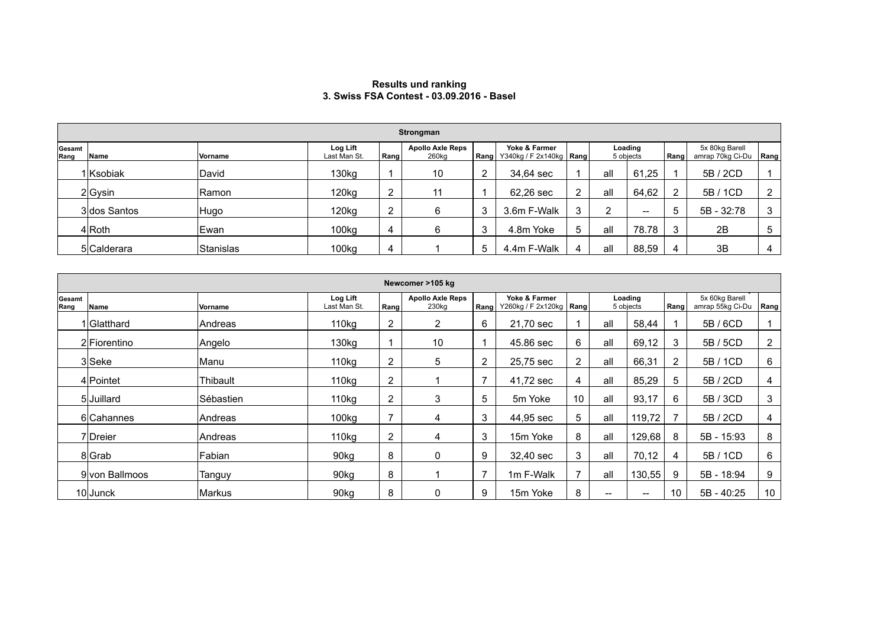## **Results und ranking 3. Swiss FSA Contest - 03.09.2016 - Basel**

|                | Strongman    |                |                          |      |                                              |                |                                            |   |                      |                   |                |                                    |      |
|----------------|--------------|----------------|--------------------------|------|----------------------------------------------|----------------|--------------------------------------------|---|----------------------|-------------------|----------------|------------------------------------|------|
| Gesamt<br>Rang | Name         | <b>Vorname</b> | Log Lift<br>Last Man St. | Rang | <b>Apollo Axle Reps</b><br>260 <sub>kg</sub> | Rang           | Yoke & Farmer<br>Y340kg / F 2x140kg   Rang |   | Loading<br>5 objects |                   | Rang           | 5x 80kg Barell<br>amrap 70kg Ci-Du | Rang |
|                | 1 Ksobiak    | David          | 130kg                    |      | 10                                           | $\overline{2}$ | 34,64 sec                                  |   | all                  | 61,25             |                | 5B / 2CD                           |      |
|                | $2 G$ ysin   | Ramon          | 120kg                    | 2    | 11                                           |                | 62,26 sec                                  | ົ | all                  | 64,62             | $\overline{2}$ | 5B / 1CD                           | 2    |
|                | 3 dos Santos | Hugo           | 120kg                    | 2    |                                              | 3              | 3.6m F-Walk                                | 3 | ົ                    | $\hspace{0.05cm}$ | 5              | 5B - 32:78                         | 3    |
|                | $4 R$ oth    | Ewan           | 100kg                    | 4    |                                              | 3              | 4.8m Yoke                                  | 5 | all                  | 78.78             | 3              | 2B                                 | 5    |
|                | 5 Calderara  | Stanislas      | 100kg                    | 4    |                                              | 5              | 4.4m F-Walk                                |   | all                  | 88,59             | 4              | 3B                                 | 4    |

|                | Newcomer >105 kg |                |                          |                |                                  |      |                                            |                |                      |                          |                       |                                    |      |
|----------------|------------------|----------------|--------------------------|----------------|----------------------------------|------|--------------------------------------------|----------------|----------------------|--------------------------|-----------------------|------------------------------------|------|
| Gesamt<br>Rang | Name             | <b>Vorname</b> | Log Lift<br>Last Man St. | Rang           | <b>Apollo Axle Reps</b><br>230kg | Rang | Yoke & Farmer<br>Y260kg / F 2x120kg   Rang |                | Loading<br>5 objects |                          | Rang                  | 5x 60kg Barell<br>amrap 55kg Ci-Du | Rang |
|                | 1 Glatthard      | Andreas        | 110kg                    | 2              | $\overline{2}$                   | 6    | 21,70 sec                                  |                | all                  | 58,44                    |                       | 5B/6CD                             |      |
|                | 2 Fiorentino     | Angelo         | 130kg                    |                | 10                               |      | 45.86 sec                                  | 6              | all                  | 69,12                    | 3                     | 5B / 5CD                           | 2    |
|                | 3 Seke           | Manu           | 110kg                    | $\overline{2}$ | 5                                | 2    | 25,75 sec                                  | $\overline{2}$ | all                  | 66,31                    | $\mathbf{2}^{\prime}$ | 5B / 1CD                           | 6    |
|                | 4 Pointet        | Thibault       | 110kg                    | $\overline{2}$ |                                  | 7    | 41,72 sec                                  | 4              | all                  | 85,29                    | 5                     | 5B / 2CD                           | 4    |
|                | 5 Juillard       | Sébastien      | 110kg                    | 2              | 3                                | 5    | 5m Yoke                                    | 10             | all                  | 93,17                    | 6                     | 5B / 3CD                           | 3    |
|                | 6 Cahannes       | Andreas        | 100kg                    | $\overline{7}$ | 4                                | 3    | 44,95 sec                                  | 5              | all                  | 119,72                   |                       | 5B / 2CD                           | 4    |
|                | 7 Dreier         | Andreas        | 110 <sub>kg</sub>        | $\overline{2}$ | 4                                | 3    | 15m Yoke                                   | 8              | all                  | 129,68                   | 8                     | 5B - 15:93                         | 8    |
|                | 8 Grab           | Fabian         | 90kg                     | 8              | 0                                | 9    | 32.40 sec                                  | 3              | all                  | 70,12                    | 4                     | 5B / 1CD                           | 6    |
|                | 9 von Ballmoos   | Tanguy         | 90kg                     | 8              |                                  | 7    | 1m F-Walk                                  | 7              | all                  | 130,55                   | 9                     | 5B - 18:94                         | 9    |
|                | $10$ Junck       | <b>Markus</b>  | 90kg                     | 8              | 0                                | 9    | 15m Yoke                                   | 8              | --                   | $\hspace{0.05cm} \cdots$ | 10                    | 5B - 40:25                         | 10   |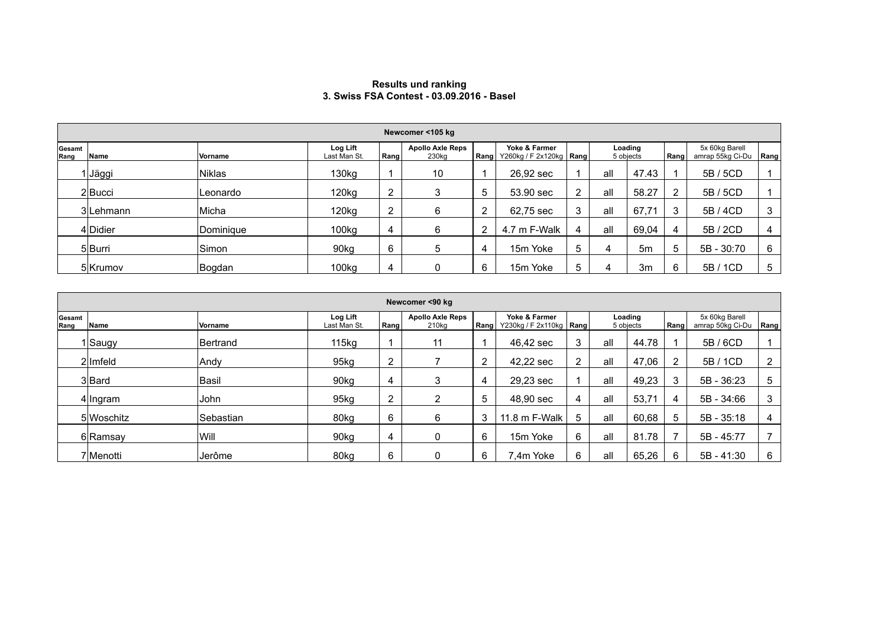## **Results und ranking 3. Swiss FSA Contest - 03.09.2016 - Basel**

|                | Newcomer <105 kg |                |                          |      |                                              |      |                                            |   |                      |                |              |                                    |                |
|----------------|------------------|----------------|--------------------------|------|----------------------------------------------|------|--------------------------------------------|---|----------------------|----------------|--------------|------------------------------------|----------------|
| Gesamt<br>Rang | Name             | <b>Vorname</b> | Log Lift<br>Last Man St. | Rang | <b>Apollo Axle Reps</b><br>230 <sub>kg</sub> | Rang | Yoke & Farmer<br>Y260kg / F 2x120kg   Rang |   | Loading<br>5 objects |                | Rang         | 5x 60kg Barell<br>amrap 55kg Ci-Du | Rang           |
|                | Jäggi            | <b>Niklas</b>  | 130kg                    |      | 10                                           |      | 26,92 sec                                  |   | all                  | 47.43          |              | 5B / 5CD                           |                |
|                | $2$ Bucci        | Leonardo       | 120 <sub>kg</sub>        | 2    |                                              | 5    | 53.90 sec                                  | 2 | all                  | 58.27          | $\mathbf{2}$ | 5B / 5CD                           |                |
|                | 3Lehmann         | Micha          | 120kg                    | 2    | 6                                            | 2    | 62,75 sec                                  | 3 | all                  | 67,71          | 3            | 5B / 4CD                           | 3              |
|                | 4 Didier         | Dominique      | 100kg                    | 4    |                                              | 2    | 4.7 m F-Walk                               | 4 | all                  | 69,04          | 4            | 5B / 2CD                           | $\overline{4}$ |
|                | 5Burri           | Simon          | 90 <sub>kg</sub>         | 6    | 5                                            | 4    | 15m Yoke                                   | 5 | 4                    | 5m             | 5            | 5B - 30:70                         | 6              |
|                | 5 Krumov         | Bogdan         | 100 <sub>kg</sub>        | 4    |                                              | 6    | 15m Yoke                                   | 5 |                      | 3 <sub>m</sub> | 6            | 5B / 1CD                           | 5              |

|                | Newcomer <90 kg |                  |                          |                |                                              |      |                                            |   |                      |       |      |                                    |      |
|----------------|-----------------|------------------|--------------------------|----------------|----------------------------------------------|------|--------------------------------------------|---|----------------------|-------|------|------------------------------------|------|
| Gesamt<br>Rang | Name            | Vorname          | Log Lift<br>Last Man St. | Rang           | <b>Apollo Axle Reps</b><br>210 <sub>kg</sub> | Rang | Yoke & Farmer<br>Y230kg / F 2x110kg   Rang |   | Loading<br>5 objects |       | Rang | 5x 60kg Barell<br>amrap 50kg Ci-Du | Rang |
|                | l∣Saugy         | <b>Bertrand</b>  | 115kg                    |                | 11                                           |      | 46.42 sec                                  | ◠ | all                  | 44.78 |      | 5B/6CD                             |      |
|                | 2lmfeld         | Andy             | 95kg                     | $\overline{2}$ |                                              | 2    | 42,22 sec                                  | ົ | all                  | 47,06 | 2    | 5B / 1CD                           | 2    |
|                | 3 Bard          | Basil            | 90 <sub>kg</sub>         | 4              | 3                                            | 4    | 29,23 sec                                  |   | all                  | 49,23 | 3    | 5B - 36:23                         | 5    |
|                | 4 Ingram        | John             | 95kg                     | 2              | າ                                            | 5    | 48,90 sec                                  |   | all                  | 53,71 | 4    | 5B - 34:66                         | 3    |
|                | 5 Woschitz      | <b>Sebastian</b> | 80kg                     | 6              | 6                                            | 3    | 11.8 m F-Walk                              | 5 | all                  | 60,68 | 5    | $5B - 35:18$                       | 4    |
|                | 6 Ramsay        | Will             | 90kg                     | 4              | 0                                            | 6    | 15m Yoke                                   | 6 | all                  | 81.78 |      | 5B - 45:77                         |      |
|                | 7lMenotti       | <b>Jerôme</b>    | 80kg                     | 6              | 0                                            | 6    | 7.4m Yoke                                  | 6 | all                  | 65,26 | 6    | $5B - 41:30$                       | 6    |